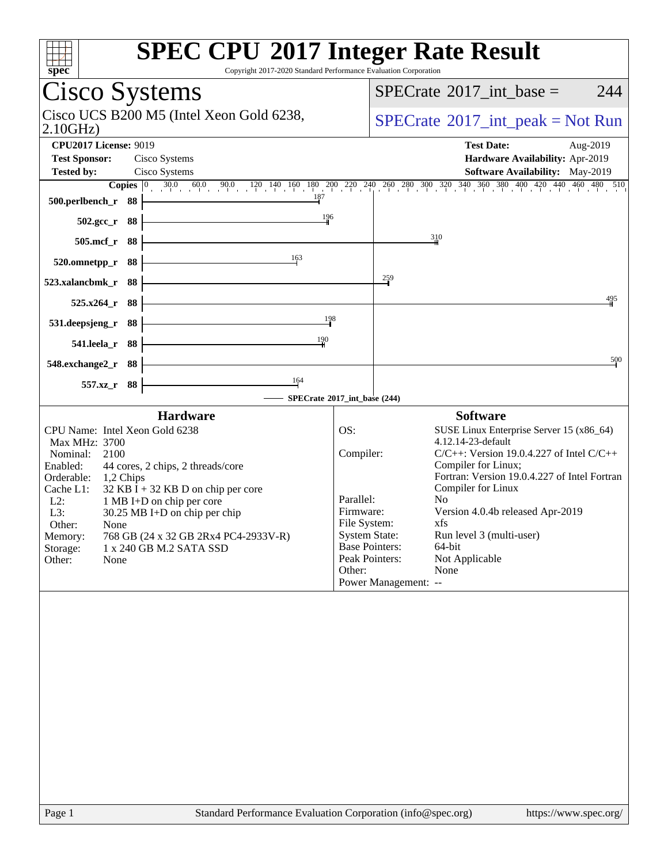| spec                                                                                                                                                                                                                                                                                                                                                                                                              | <b>SPEC CPU®2017 Integer Rate Result</b><br>Copyright 2017-2020 Standard Performance Evaluation Corporation                                                                                                                                                                                                                                                                                                                                                                                                  |
|-------------------------------------------------------------------------------------------------------------------------------------------------------------------------------------------------------------------------------------------------------------------------------------------------------------------------------------------------------------------------------------------------------------------|--------------------------------------------------------------------------------------------------------------------------------------------------------------------------------------------------------------------------------------------------------------------------------------------------------------------------------------------------------------------------------------------------------------------------------------------------------------------------------------------------------------|
| Cisco Systems                                                                                                                                                                                                                                                                                                                                                                                                     | $SPECTate$ <sup>®</sup> 2017_int_base =<br>244                                                                                                                                                                                                                                                                                                                                                                                                                                                               |
| Cisco UCS B200 M5 (Intel Xeon Gold 6238,<br>2.10GHz                                                                                                                                                                                                                                                                                                                                                               | $SPECrate^{\circledcirc}2017\_int\_peak = Not Run$                                                                                                                                                                                                                                                                                                                                                                                                                                                           |
| <b>CPU2017 License: 9019</b><br><b>Test Sponsor:</b><br>Cisco Systems<br><b>Tested by:</b><br>Cisco Systems<br>$\frac{187}{2}$<br>500.perlbench_r 88                                                                                                                                                                                                                                                              | <b>Test Date:</b><br>Aug-2019<br>Hardware Availability: Apr-2019<br>Software Availability: May-2019<br><b>Copies</b> $\begin{bmatrix} 0 & 30.0 & 60.0 & 90.0 & 120 & 140 & 160 & 180 & 200 & 220 & 240 & 260 & 280 & 300 & 320 & 340 & 360 & 380 & 400 & 420 & 440 & 460 & 480 & 510 \end{bmatrix}$                                                                                                                                                                                                          |
| 196<br>502.gcc_r 88                                                                                                                                                                                                                                                                                                                                                                                               |                                                                                                                                                                                                                                                                                                                                                                                                                                                                                                              |
| $505$ .mcf_r<br>- 88                                                                                                                                                                                                                                                                                                                                                                                              | 310                                                                                                                                                                                                                                                                                                                                                                                                                                                                                                          |
| 163<br>88<br>520.omnetpp_r                                                                                                                                                                                                                                                                                                                                                                                        |                                                                                                                                                                                                                                                                                                                                                                                                                                                                                                              |
| 523.xalancbmk_r<br>88                                                                                                                                                                                                                                                                                                                                                                                             | $\frac{259}{7}$                                                                                                                                                                                                                                                                                                                                                                                                                                                                                              |
| 88<br>$525.x264$ r                                                                                                                                                                                                                                                                                                                                                                                                | 495                                                                                                                                                                                                                                                                                                                                                                                                                                                                                                          |
| 531.deepsjeng_r<br>88                                                                                                                                                                                                                                                                                                                                                                                             | 198                                                                                                                                                                                                                                                                                                                                                                                                                                                                                                          |
| 190<br>541.leela_r 88                                                                                                                                                                                                                                                                                                                                                                                             |                                                                                                                                                                                                                                                                                                                                                                                                                                                                                                              |
| 548.exchange2_r 88                                                                                                                                                                                                                                                                                                                                                                                                | 500                                                                                                                                                                                                                                                                                                                                                                                                                                                                                                          |
| 164<br>557.xz<br>- 88                                                                                                                                                                                                                                                                                                                                                                                             | SPECrate®2017_int_base (244)                                                                                                                                                                                                                                                                                                                                                                                                                                                                                 |
| <b>Hardware</b>                                                                                                                                                                                                                                                                                                                                                                                                   | <b>Software</b>                                                                                                                                                                                                                                                                                                                                                                                                                                                                                              |
| CPU Name: Intel Xeon Gold 6238<br>Max MHz: 3700<br>2100<br>Nominal:<br>Enabled:<br>44 cores, 2 chips, 2 threads/core<br>Orderable:<br>1,2 Chips<br>$32$ KB I + 32 KB D on chip per core<br>Cache L1:<br>$L2$ :<br>1 MB I+D on chip per core<br>L3:<br>30.25 MB I+D on chip per chip<br>Other:<br>None<br>768 GB (24 x 32 GB 2Rx4 PC4-2933V-R)<br>Memory:<br>1 x 240 GB M.2 SATA SSD<br>Storage:<br>Other:<br>None | OS:<br>SUSE Linux Enterprise Server 15 (x86_64)<br>4.12.14-23-default<br>Compiler:<br>$C/C++$ : Version 19.0.4.227 of Intel $C/C++$<br>Compiler for Linux;<br>Fortran: Version 19.0.4.227 of Intel Fortran<br>Compiler for Linux<br>Parallel:<br>N <sub>0</sub><br>Firmware:<br>Version 4.0.4b released Apr-2019<br>File System:<br>xts<br><b>System State:</b><br>Run level 3 (multi-user)<br><b>Base Pointers:</b><br>64-bit<br>Peak Pointers:<br>Not Applicable<br>Other:<br>None<br>Power Management: -- |
| Page 1                                                                                                                                                                                                                                                                                                                                                                                                            | Standard Performance Evaluation Corporation (info@spec.org)<br>https://www.spec.org/                                                                                                                                                                                                                                                                                                                                                                                                                         |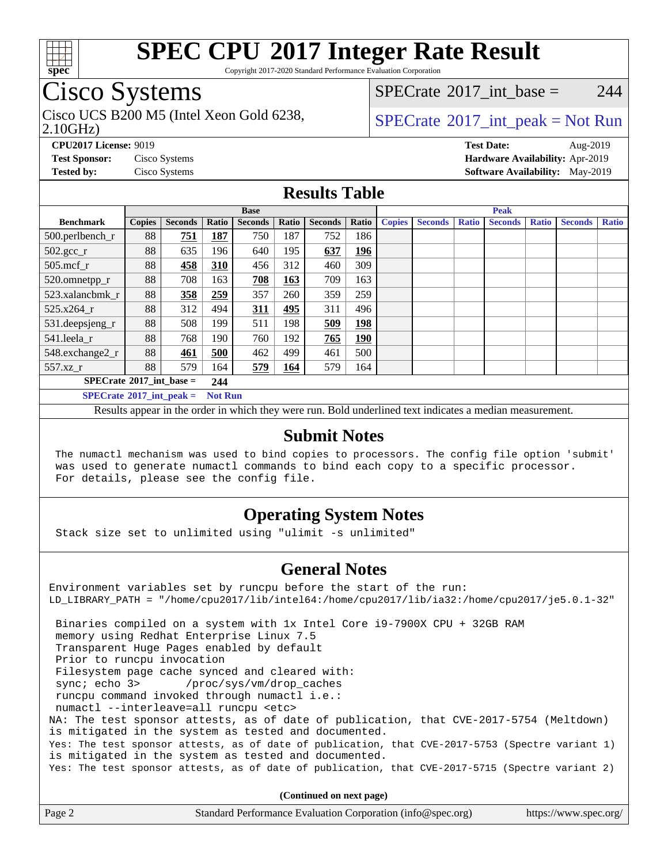

Copyright 2017-2020 Standard Performance Evaluation Corporation

### Cisco Systems

2.10GHz) Cisco UCS B200 M5 (Intel Xeon Gold 6238,  $\vert$  [SPECrate](http://www.spec.org/auto/cpu2017/Docs/result-fields.html#SPECrate2017intpeak)®[2017\\_int\\_peak = N](http://www.spec.org/auto/cpu2017/Docs/result-fields.html#SPECrate2017intpeak)ot Run

[SPECrate](http://www.spec.org/auto/cpu2017/Docs/result-fields.html#SPECrate2017intbase)<sup>®</sup>2017 int base = 244

**[CPU2017 License:](http://www.spec.org/auto/cpu2017/Docs/result-fields.html#CPU2017License)** 9019 **[Test Date:](http://www.spec.org/auto/cpu2017/Docs/result-fields.html#TestDate)** Aug-2019 **[Test Sponsor:](http://www.spec.org/auto/cpu2017/Docs/result-fields.html#TestSponsor)** Cisco Systems **[Hardware Availability:](http://www.spec.org/auto/cpu2017/Docs/result-fields.html#HardwareAvailability)** Apr-2019 **[Tested by:](http://www.spec.org/auto/cpu2017/Docs/result-fields.html#Testedby)** Cisco Systems **[Software Availability:](http://www.spec.org/auto/cpu2017/Docs/result-fields.html#SoftwareAvailability)** May-2019

#### **[Results Table](http://www.spec.org/auto/cpu2017/Docs/result-fields.html#ResultsTable)**

| <b>Base</b>                              |               |                |                | <b>Peak</b>    |              |                |            |               |                |              |                |              |                |              |
|------------------------------------------|---------------|----------------|----------------|----------------|--------------|----------------|------------|---------------|----------------|--------------|----------------|--------------|----------------|--------------|
| <b>Benchmark</b>                         | <b>Copies</b> | <b>Seconds</b> | Ratio          | <b>Seconds</b> | <b>Ratio</b> | <b>Seconds</b> | Ratio      | <b>Copies</b> | <b>Seconds</b> | <b>Ratio</b> | <b>Seconds</b> | <b>Ratio</b> | <b>Seconds</b> | <b>Ratio</b> |
| 500.perlbench_r                          | 88            | 751            | 187            | 750            | 187          | 752            | 186        |               |                |              |                |              |                |              |
| $502.\text{gcc\_r}$                      | 88            | 635            | 196            | 640            | 195          | 637            | <u>196</u> |               |                |              |                |              |                |              |
| $505$ .mcf r                             | 88            | 458            | 310            | 456            | 312          | 460            | 309        |               |                |              |                |              |                |              |
| 520.omnetpp_r                            | 88            | 708            | 163            | 708            | 163          | 709            | 163        |               |                |              |                |              |                |              |
| 523.xalancbmk r                          | 88            | 358            | 259            | 357            | 260          | 359            | 259        |               |                |              |                |              |                |              |
| 525.x264 r                               | 88            | 312            | 494            | 311            | 495          | 311            | 496        |               |                |              |                |              |                |              |
| 531.deepsjeng_r                          | 88            | 508            | 199            | 511            | 198          | 509            | 198        |               |                |              |                |              |                |              |
| 541.leela_r                              | 88            | 768            | 190            | 760            | 192          | 765            | <u>190</u> |               |                |              |                |              |                |              |
| 548.exchange2_r                          | 88            | 461            | 500            | 462            | 499          | 461            | 500        |               |                |              |                |              |                |              |
| 557.xz r                                 | 88            | 579            | 164            | 579            | 164          | 579            | 164        |               |                |              |                |              |                |              |
| $SPECrate^{\circ}2017$ int base =<br>244 |               |                |                |                |              |                |            |               |                |              |                |              |                |              |
| $SPECrate^{\circ}2017$ int peak =        |               |                | <b>Not Run</b> |                |              |                |            |               |                |              |                |              |                |              |

Results appear in the [order in which they were run](http://www.spec.org/auto/cpu2017/Docs/result-fields.html#RunOrder). Bold underlined text [indicates a median measurement](http://www.spec.org/auto/cpu2017/Docs/result-fields.html#Median).

#### **[Submit Notes](http://www.spec.org/auto/cpu2017/Docs/result-fields.html#SubmitNotes)**

 The numactl mechanism was used to bind copies to processors. The config file option 'submit' was used to generate numactl commands to bind each copy to a specific processor. For details, please see the config file.

### **[Operating System Notes](http://www.spec.org/auto/cpu2017/Docs/result-fields.html#OperatingSystemNotes)**

Stack size set to unlimited using "ulimit -s unlimited"

#### **[General Notes](http://www.spec.org/auto/cpu2017/Docs/result-fields.html#GeneralNotes)**

Environment variables set by runcpu before the start of the run: LD\_LIBRARY\_PATH = "/home/cpu2017/lib/intel64:/home/cpu2017/lib/ia32:/home/cpu2017/je5.0.1-32" Binaries compiled on a system with 1x Intel Core i9-7900X CPU + 32GB RAM memory using Redhat Enterprise Linux 7.5 Transparent Huge Pages enabled by default Prior to runcpu invocation Filesystem page cache synced and cleared with: sync; echo 3> /proc/sys/vm/drop\_caches runcpu command invoked through numactl i.e.: numactl --interleave=all runcpu <etc> NA: The test sponsor attests, as of date of publication, that CVE-2017-5754 (Meltdown) is mitigated in the system as tested and documented. Yes: The test sponsor attests, as of date of publication, that CVE-2017-5753 (Spectre variant 1) is mitigated in the system as tested and documented. Yes: The test sponsor attests, as of date of publication, that CVE-2017-5715 (Spectre variant 2)

**(Continued on next page)**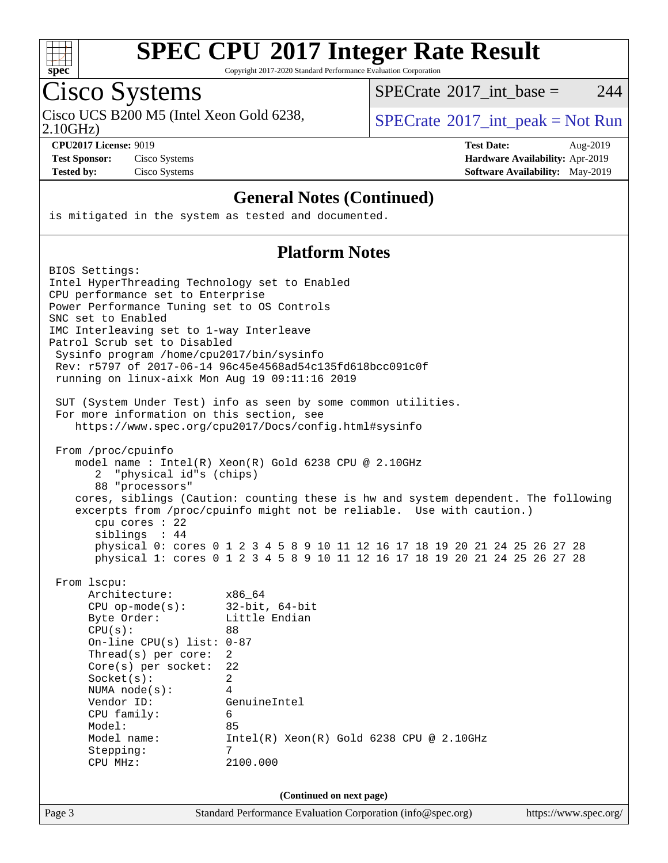

Copyright 2017-2020 Standard Performance Evaluation Corporation

# Cisco Systems

Cisco UCS B200 M5 (Intel Xeon Gold 6238,  $SPECrate^{\circ}2017\_int\_peak = Not Run$  $SPECrate^{\circ}2017\_int\_peak = Not Run$ 

 $SPECTate$ <sup>®</sup>[2017\\_int\\_base =](http://www.spec.org/auto/cpu2017/Docs/result-fields.html#SPECrate2017intbase) 244

2.10GHz)

**[CPU2017 License:](http://www.spec.org/auto/cpu2017/Docs/result-fields.html#CPU2017License)** 9019 **[Test Date:](http://www.spec.org/auto/cpu2017/Docs/result-fields.html#TestDate)** Aug-2019 **[Test Sponsor:](http://www.spec.org/auto/cpu2017/Docs/result-fields.html#TestSponsor)** Cisco Systems **[Hardware Availability:](http://www.spec.org/auto/cpu2017/Docs/result-fields.html#HardwareAvailability)** Apr-2019 **[Tested by:](http://www.spec.org/auto/cpu2017/Docs/result-fields.html#Testedby)** Cisco Systems **[Software Availability:](http://www.spec.org/auto/cpu2017/Docs/result-fields.html#SoftwareAvailability)** May-2019

#### **[General Notes \(Continued\)](http://www.spec.org/auto/cpu2017/Docs/result-fields.html#GeneralNotes)**

is mitigated in the system as tested and documented.

#### **[Platform Notes](http://www.spec.org/auto/cpu2017/Docs/result-fields.html#PlatformNotes)**

| BIOS Settings:<br>Intel HyperThreading Technology set to Enabled<br>CPU performance set to Enterprise<br>Power Performance Tuning set to OS Controls<br>SNC set to Enabled<br>IMC Interleaving set to 1-way Interleave<br>Patrol Scrub set to Disabled<br>Sysinfo program /home/cpu2017/bin/sysinfo<br>running on linux-aixk Mon Aug 19 09:11:16 2019<br>For more information on this section, see | Rev: r5797 of 2017-06-14 96c45e4568ad54c135fd618bcc091c0f<br>SUT (System Under Test) info as seen by some common utilities.                                                                                                                                                                                                                                                          |                       |
|----------------------------------------------------------------------------------------------------------------------------------------------------------------------------------------------------------------------------------------------------------------------------------------------------------------------------------------------------------------------------------------------------|--------------------------------------------------------------------------------------------------------------------------------------------------------------------------------------------------------------------------------------------------------------------------------------------------------------------------------------------------------------------------------------|-----------------------|
|                                                                                                                                                                                                                                                                                                                                                                                                    | https://www.spec.org/cpu2017/Docs/config.html#sysinfo                                                                                                                                                                                                                                                                                                                                |                       |
| From /proc/cpuinfo<br>"physical id"s (chips)<br>2<br>88 "processors"<br>cpu cores : 22<br>siblings : 44                                                                                                                                                                                                                                                                                            | model name : Intel(R) $Xeon(R)$ Gold 6238 CPU @ 2.10GHz<br>cores, siblings (Caution: counting these is hw and system dependent. The following<br>excerpts from /proc/cpuinfo might not be reliable. Use with caution.)<br>physical 0: cores 0 1 2 3 4 5 8 9 10 11 12 16 17 18 19 20 21 24 25 26 27 28<br>physical 1: cores 0 1 2 3 4 5 8 9 10 11 12 16 17 18 19 20 21 24 25 26 27 28 |                       |
| From 1scpu:<br>Architecture:<br>$CPU$ op-mode( $s$ ):<br>Byte Order:<br>CPU(s):<br>On-line CPU(s) list: $0-87$<br>Thread(s) per core:<br>$Core(s)$ per socket:<br>Socket(s):<br>NUMA node(s):<br>Vendor ID:<br>CPU family:<br>Model:<br>Model name:<br>Stepping:<br>CPU MHz:                                                                                                                       | x86_64<br>$32$ -bit, $64$ -bit<br>Little Endian<br>88<br>2<br>22<br>$\overline{a}$<br>4<br>GenuineIntel<br>6<br>85<br>$Intel(R)$ Xeon $(R)$ Gold 6238 CPU @ 2.10GHz<br>7<br>2100.000                                                                                                                                                                                                 |                       |
|                                                                                                                                                                                                                                                                                                                                                                                                    | (Continued on next page)                                                                                                                                                                                                                                                                                                                                                             |                       |
| Page 3                                                                                                                                                                                                                                                                                                                                                                                             | Standard Performance Evaluation Corporation (info@spec.org)                                                                                                                                                                                                                                                                                                                          | https://www.spec.org/ |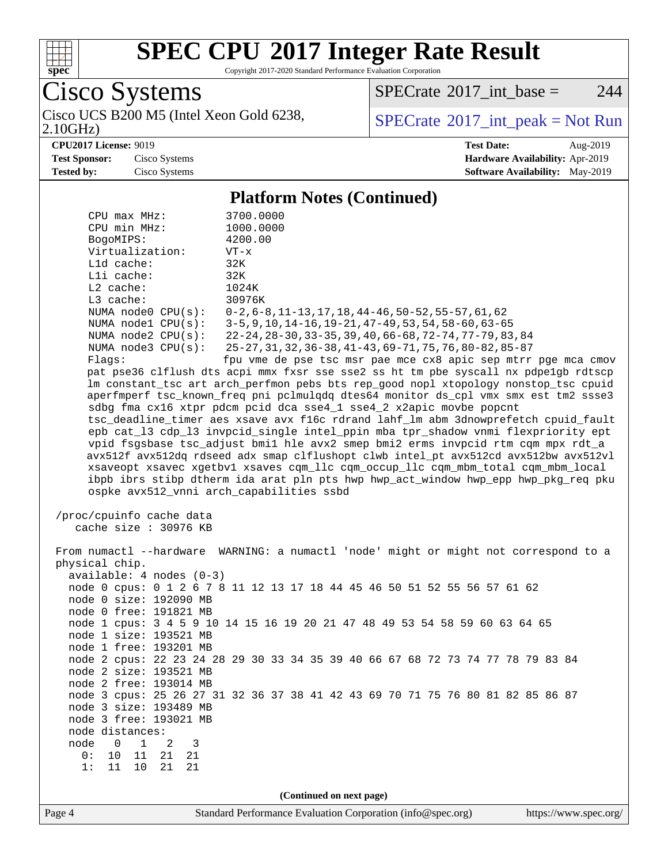

Copyright 2017-2020 Standard Performance Evaluation Corporation

Cisco Systems<br>Cisco UCS B200 M5 (Intel Xeon Gold 6238,

2.10GHz)

 $SPECTate@2017_int\_base = 244$ 

 $SPECTate<sup>®</sup>2017_int_p [peak = Not Run]$ 

**[CPU2017 License:](http://www.spec.org/auto/cpu2017/Docs/result-fields.html#CPU2017License)** 9019 **[Test Date:](http://www.spec.org/auto/cpu2017/Docs/result-fields.html#TestDate)** Aug-2019 **[Test Sponsor:](http://www.spec.org/auto/cpu2017/Docs/result-fields.html#TestSponsor)** Cisco Systems **[Hardware Availability:](http://www.spec.org/auto/cpu2017/Docs/result-fields.html#HardwareAvailability)** Apr-2019 **[Tested by:](http://www.spec.org/auto/cpu2017/Docs/result-fields.html#Testedby)** Cisco Systems **[Software Availability:](http://www.spec.org/auto/cpu2017/Docs/result-fields.html#SoftwareAvailability)** May-2019

#### **[Platform Notes \(Continued\)](http://www.spec.org/auto/cpu2017/Docs/result-fields.html#PlatformNotes)**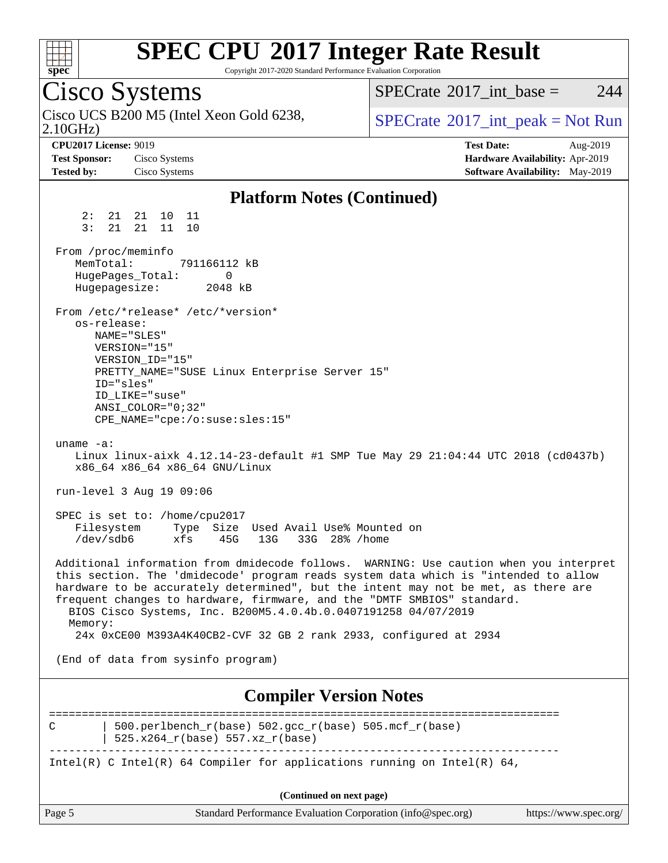

Copyright 2017-2020 Standard Performance Evaluation Corporation

Cisco Systems 2.10GHz) Cisco UCS B200 M5 (Intel Xeon Gold 6238,  $\vert$  [SPECrate](http://www.spec.org/auto/cpu2017/Docs/result-fields.html#SPECrate2017intpeak)®[2017\\_int\\_peak = N](http://www.spec.org/auto/cpu2017/Docs/result-fields.html#SPECrate2017intpeak)ot Run [SPECrate](http://www.spec.org/auto/cpu2017/Docs/result-fields.html#SPECrate2017intbase)<sup>®</sup>2017 int base = 244 **[CPU2017 License:](http://www.spec.org/auto/cpu2017/Docs/result-fields.html#CPU2017License)** 9019 **[Test Date:](http://www.spec.org/auto/cpu2017/Docs/result-fields.html#TestDate)** Aug-2019 **[Test Sponsor:](http://www.spec.org/auto/cpu2017/Docs/result-fields.html#TestSponsor)** Cisco Systems **[Hardware Availability:](http://www.spec.org/auto/cpu2017/Docs/result-fields.html#HardwareAvailability)** Apr-2019 **[Tested by:](http://www.spec.org/auto/cpu2017/Docs/result-fields.html#Testedby)** Cisco Systems **[Software Availability:](http://www.spec.org/auto/cpu2017/Docs/result-fields.html#SoftwareAvailability)** May-2019 **[Platform Notes \(Continued\)](http://www.spec.org/auto/cpu2017/Docs/result-fields.html#PlatformNotes)** 2: 21 21 10 11 3: 21 21 11 10 From /proc/meminfo<br>MemTotal: 791166112 kB MemTotal: HugePages\_Total: 0 Hugepagesize: 2048 kB From /etc/\*release\* /etc/\*version\* os-release: NAME="SLES" VERSION="15" VERSION\_ID="15" PRETTY\_NAME="SUSE Linux Enterprise Server 15" ID="sles" ID\_LIKE="suse" ANSI\_COLOR="0;32" CPE\_NAME="cpe:/o:suse:sles:15" uname -a: Linux linux-aixk 4.12.14-23-default #1 SMP Tue May 29 21:04:44 UTC 2018 (cd0437b) x86\_64 x86\_64 x86\_64 GNU/Linux run-level 3 Aug 19 09:06 SPEC is set to: /home/cpu2017 Filesystem Type Size Used Avail Use% Mounted on /dev/sdb6 xfs 45G 13G 33G 28% /home Additional information from dmidecode follows. WARNING: Use caution when you interpret this section. The 'dmidecode' program reads system data which is "intended to allow hardware to be accurately determined", but the intent may not be met, as there are frequent changes to hardware, firmware, and the "DMTF SMBIOS" standard. BIOS Cisco Systems, Inc. B200M5.4.0.4b.0.0407191258 04/07/2019 Memory: 24x 0xCE00 M393A4K40CB2-CVF 32 GB 2 rank 2933, configured at 2934 (End of data from sysinfo program) **[Compiler Version Notes](http://www.spec.org/auto/cpu2017/Docs/result-fields.html#CompilerVersionNotes)** ==============================================================================

C | 500.perlbench r(base) 502.gcc r(base) 505.mcf r(base) | 525.x264\_r(base) 557.xz\_r(base) ------------------------------------------------------------------------------ Intel(R) C Intel(R) 64 Compiler for applications running on Intel(R)  $64$ ,

**(Continued on next page)**

| Page 5<br>Standard Performance Evaluation Corporation (info@spec.org) | https://www.spec.org/ $\vert$ |  |
|-----------------------------------------------------------------------|-------------------------------|--|
|-----------------------------------------------------------------------|-------------------------------|--|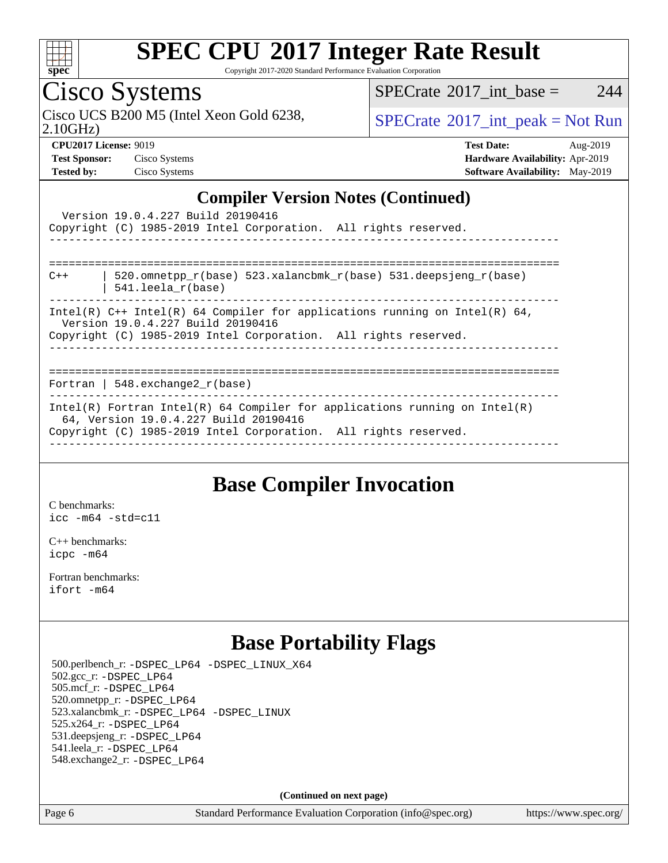

Copyright 2017-2020 Standard Performance Evaluation Corporation

### Cisco Systems

Cisco UCS B200 M5 (Intel Xeon Gold 6238,  $SPECTR = SPECrate^{\circ}2017\_int\_peak = Not Run$  $SPECTR = SPECrate^{\circ}2017\_int\_peak = Not Run$  $SPECTR = SPECrate^{\circ}2017\_int\_peak = Not Run$ 

 $SPECTate$ <sup>®</sup>[2017\\_int\\_base =](http://www.spec.org/auto/cpu2017/Docs/result-fields.html#SPECrate2017intbase) 244

2.10GHz)

**[Test Sponsor:](http://www.spec.org/auto/cpu2017/Docs/result-fields.html#TestSponsor)** Cisco Systems **[Hardware Availability:](http://www.spec.org/auto/cpu2017/Docs/result-fields.html#HardwareAvailability)** Apr-2019 **[Tested by:](http://www.spec.org/auto/cpu2017/Docs/result-fields.html#Testedby)** Cisco Systems **[Software Availability:](http://www.spec.org/auto/cpu2017/Docs/result-fields.html#SoftwareAvailability)** May-2019

**[CPU2017 License:](http://www.spec.org/auto/cpu2017/Docs/result-fields.html#CPU2017License)** 9019 **[Test Date:](http://www.spec.org/auto/cpu2017/Docs/result-fields.html#TestDate)** Aug-2019

### **[Compiler Version Notes \(Continued\)](http://www.spec.org/auto/cpu2017/Docs/result-fields.html#CompilerVersionNotes)**

|       | Version 19.0.4.227 Build 20190416<br>Copyright (C) 1985-2019 Intel Corporation. All rights reserved.                                                                                   |
|-------|----------------------------------------------------------------------------------------------------------------------------------------------------------------------------------------|
|       | =================================                                                                                                                                                      |
| $C++$ | 520.omnetpp $r(base)$ 523.xalancbmk $r(base)$ 531.deepsjeng $r(base)$<br>$541.$ leela r(base)<br>------------------------                                                              |
|       | Intel(R) $C++$ Intel(R) 64 Compiler for applications running on Intel(R) 64,<br>Version 19.0.4.227 Build 20190416<br>Copyright (C) 1985-2019 Intel Corporation. All rights reserved.   |
|       |                                                                                                                                                                                        |
|       | Fortran   548.exchange2 $r(base)$                                                                                                                                                      |
|       | Intel(R) Fortran Intel(R) 64 Compiler for applications running on Intel(R)<br>64, Version 19.0.4.227 Build 20190416<br>Copyright (C) 1985-2019 Intel Corporation. All rights reserved. |

### **[Base Compiler Invocation](http://www.spec.org/auto/cpu2017/Docs/result-fields.html#BaseCompilerInvocation)**

[C benchmarks](http://www.spec.org/auto/cpu2017/Docs/result-fields.html#Cbenchmarks): [icc -m64 -std=c11](http://www.spec.org/cpu2017/results/res2019q3/cpu2017-20190820-17219.flags.html#user_CCbase_intel_icc_64bit_c11_33ee0cdaae7deeeab2a9725423ba97205ce30f63b9926c2519791662299b76a0318f32ddfffdc46587804de3178b4f9328c46fa7c2b0cd779d7a61945c91cd35)

[C++ benchmarks:](http://www.spec.org/auto/cpu2017/Docs/result-fields.html#CXXbenchmarks) [icpc -m64](http://www.spec.org/cpu2017/results/res2019q3/cpu2017-20190820-17219.flags.html#user_CXXbase_intel_icpc_64bit_4ecb2543ae3f1412ef961e0650ca070fec7b7afdcd6ed48761b84423119d1bf6bdf5cad15b44d48e7256388bc77273b966e5eb805aefd121eb22e9299b2ec9d9)

[Fortran benchmarks](http://www.spec.org/auto/cpu2017/Docs/result-fields.html#Fortranbenchmarks): [ifort -m64](http://www.spec.org/cpu2017/results/res2019q3/cpu2017-20190820-17219.flags.html#user_FCbase_intel_ifort_64bit_24f2bb282fbaeffd6157abe4f878425411749daecae9a33200eee2bee2fe76f3b89351d69a8130dd5949958ce389cf37ff59a95e7a40d588e8d3a57e0c3fd751)

### **[Base Portability Flags](http://www.spec.org/auto/cpu2017/Docs/result-fields.html#BasePortabilityFlags)**

 500.perlbench\_r: [-DSPEC\\_LP64](http://www.spec.org/cpu2017/results/res2019q3/cpu2017-20190820-17219.flags.html#b500.perlbench_r_basePORTABILITY_DSPEC_LP64) [-DSPEC\\_LINUX\\_X64](http://www.spec.org/cpu2017/results/res2019q3/cpu2017-20190820-17219.flags.html#b500.perlbench_r_baseCPORTABILITY_DSPEC_LINUX_X64) 502.gcc\_r: [-DSPEC\\_LP64](http://www.spec.org/cpu2017/results/res2019q3/cpu2017-20190820-17219.flags.html#suite_basePORTABILITY502_gcc_r_DSPEC_LP64) 505.mcf\_r: [-DSPEC\\_LP64](http://www.spec.org/cpu2017/results/res2019q3/cpu2017-20190820-17219.flags.html#suite_basePORTABILITY505_mcf_r_DSPEC_LP64) 520.omnetpp\_r: [-DSPEC\\_LP64](http://www.spec.org/cpu2017/results/res2019q3/cpu2017-20190820-17219.flags.html#suite_basePORTABILITY520_omnetpp_r_DSPEC_LP64) 523.xalancbmk\_r: [-DSPEC\\_LP64](http://www.spec.org/cpu2017/results/res2019q3/cpu2017-20190820-17219.flags.html#suite_basePORTABILITY523_xalancbmk_r_DSPEC_LP64) [-DSPEC\\_LINUX](http://www.spec.org/cpu2017/results/res2019q3/cpu2017-20190820-17219.flags.html#b523.xalancbmk_r_baseCXXPORTABILITY_DSPEC_LINUX) 525.x264\_r: [-DSPEC\\_LP64](http://www.spec.org/cpu2017/results/res2019q3/cpu2017-20190820-17219.flags.html#suite_basePORTABILITY525_x264_r_DSPEC_LP64) 531.deepsjeng\_r: [-DSPEC\\_LP64](http://www.spec.org/cpu2017/results/res2019q3/cpu2017-20190820-17219.flags.html#suite_basePORTABILITY531_deepsjeng_r_DSPEC_LP64) 541.leela\_r: [-DSPEC\\_LP64](http://www.spec.org/cpu2017/results/res2019q3/cpu2017-20190820-17219.flags.html#suite_basePORTABILITY541_leela_r_DSPEC_LP64) 548.exchange2\_r: [-DSPEC\\_LP64](http://www.spec.org/cpu2017/results/res2019q3/cpu2017-20190820-17219.flags.html#suite_basePORTABILITY548_exchange2_r_DSPEC_LP64)

**(Continued on next page)**

Page 6 Standard Performance Evaluation Corporation [\(info@spec.org\)](mailto:info@spec.org) <https://www.spec.org/>